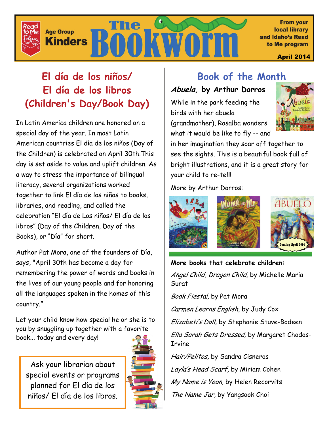

# **El día de los niños/ El día de los libros (Children's Day/Book Day)**

In Latin America children are honored on a special day of the year. In most Latin American countries El día de los niños (Day of the Children) is celebrated on April 30th.This day is set aside to value and uplift children. As a way to stress the importance of bilingual literacy, several organizations worked together to link El día de los niños to books, libraries, and reading, and called the celebration "El día de Los niños/ El día de los libros" (Day of the Children, Day of the Books), or "Día" for short.

Author Pat Mora, one of the founders of Día, says, "April 30th has become a day for remembering the power of words and books in the lives of our young people and for honoring all the languages spoken in the homes of this country."

Let your child know how special he or she is to you by snuggling up together with a favorite book... today and every day!

Ask your librarian about special events or programs planned for El día de los niños/ El día de los libros.



# **Book of the Month**

# **Abuela, by Arthur Dorros**

While in the park feeding the birds with her abuela (grandmother), Rosalba wonders what it would be like to fly -- and



in her imagination they soar off together to see the sights. This is a beautiful book full of bright illustrations, and it is a great story for your child to re-tell!

More by Arthur Dorros:



**More books that celebrate children:**  Angel Child, Dragon Child, by Michelle Maria Surat

Book Fiesta!, by Pat Mora

Carmen Learns English, by Judy Cox

Elizabeti's Doll, by Stephanie Stuve-Bodeen

Ella Sarah Gets Dressed, by Margaret Chodos-Irvine

Hair/Pelitos, by Sandra Cisneros Layla's Head Scarf, by Miriam Cohen My Name is Yoon, by Helen Recorvits The Name Jar, by Yangsook Choi